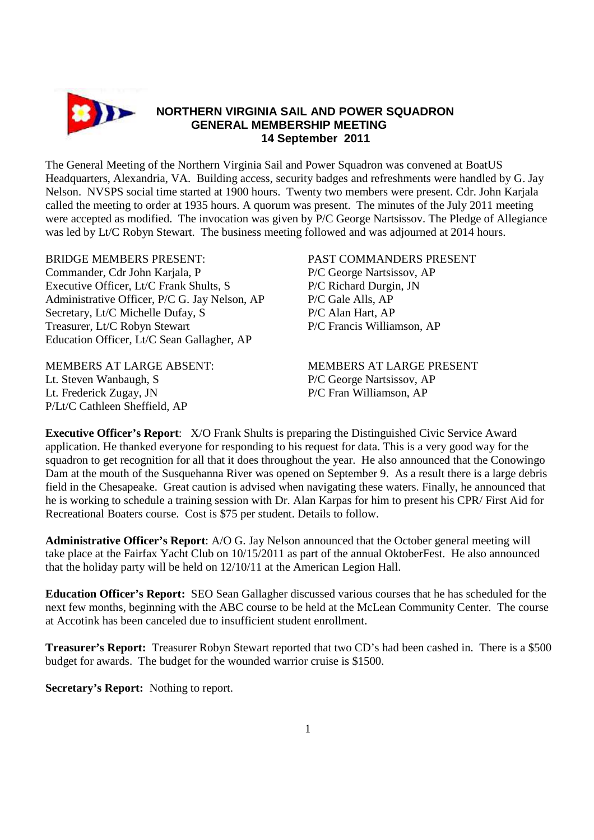

The General Meeting of the Northern Virginia Sail and Power Squadron was convened at BoatUS Headquarters, Alexandria, VA. Building access, security badges and refreshments were handled by G. Jay Nelson. NVSPS social time started at 1900 hours. Twenty two members were present. Cdr. John Karjala called the meeting to order at 1935 hours. A quorum was present. The minutes of the July 2011 meeting were accepted as modified. The invocation was given by P/C George Nartsissov. The Pledge of Allegiance was led by Lt/C Robyn Stewart. The business meeting followed and was adjourned at 2014 hours.

## BRIDGE MEMBERS PRESENT: PAST COMMANDERS PRESENT

Commander, Cdr John Kariala, P **P/C George Nartsissov, AP** Executive Officer, Lt/C Frank Shults, S<br>
P/C Richard Durgin, JN Administrative Officer, P/C G. Jay Nelson, AP P/C Gale Alls, AP Secretary, Lt/C Michelle Dufay, S<br>
P/C Alan Hart, AP Treasurer, Lt/C Robyn Stewart P/C Francis Williamson, AP Education Officer, Lt/C Sean Gallagher, AP

Lt. Steven Wanbaugh, S P/C George Nartsissov, AP Lt. Frederick Zugay, JN P/C Fran Williamson, AP P/Lt/C Cathleen Sheffield, AP

MEMBERS AT LARGE ABSENT: MEMBERS AT LARGE PRESENT

**Executive Officer's Report**: X/O Frank Shults is preparing the Distinguished Civic Service Award application. He thanked everyone for responding to his request for data. This is a very good way for the squadron to get recognition for all that it does throughout the year. He also announced that the Conowingo Dam at the mouth of the Susquehanna River was opened on September 9. As a result there is a large debris field in the Chesapeake. Great caution is advised when navigating these waters. Finally, he announced that he is working to schedule a training session with Dr. Alan Karpas for him to present his CPR/ First Aid for Recreational Boaters course. Cost is \$75 per student. Details to follow.

**Administrative Officer's Report**: A/O G. Jay Nelson announced that the October general meeting will take place at the Fairfax Yacht Club on 10/15/2011 as part of the annual OktoberFest. He also announced that the holiday party will be held on 12/10/11 at the American Legion Hall.

**Education Officer's Report:** SEO Sean Gallagher discussed various courses that he has scheduled for the next few months, beginning with the ABC course to be held at the McLean Community Center. The course at Accotink has been canceled due to insufficient student enrollment.

**Treasurer's Report:** Treasurer Robyn Stewart reported that two CD's had been cashed in. There is a \$500 budget for awards. The budget for the wounded warrior cruise is \$1500.

**Secretary's Report:** Nothing to report.